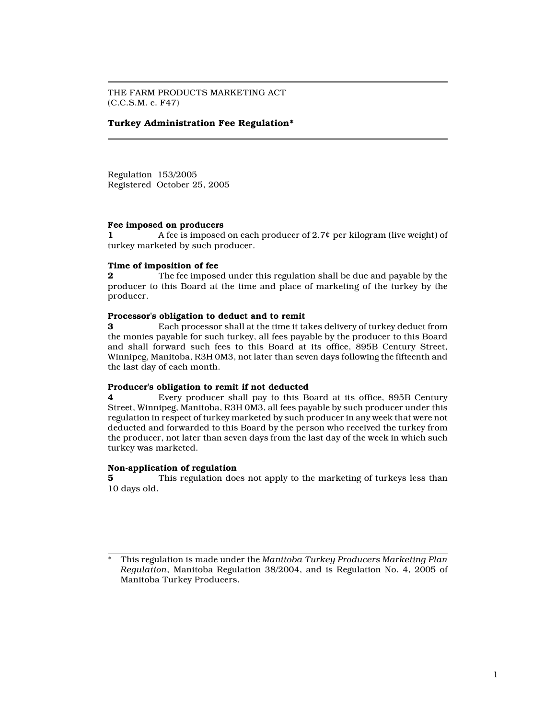THE FARM PRODUCTS MARKETING ACT (C.C.S.M. c. F47)

# Turkey Administration Fee Regulation\*

Regulation 153/2005 Registered October 25, 2005

## Fee imposed on producers

1 A fee is imposed on each producer of 2.7¢ per kilogram (live weight) of turkey marketed by such producer.

### Time of imposition of fee

**2** The fee imposed under this regulation shall be due and payable by the producer to this Board at the time and place of marketing of the turkey by the producer.

### Processor's obligation to deduct and to remit

3 Each processor shall at the time it takes delivery of turkey deduct from the monies payable for such turkey, all fees payable by the producer to this Board and shall forward such fees to this Board at its office, 895B Century Street, Winnipeg, Manitoba, R3H 0M3, not later than seven days following the fifteenth and the last day of each month.

#### Producer's obligation to remit if not deducted

4 Every producer shall pay to this Board at its office, 895B Century Street, Winnipeg, Manitoba, R3H 0M3, all fees payable by such producer under this regulation in respect of turkey marketed by such producer in any week that were not deducted and forwarded to this Board by the person who received the turkey from the producer, not later than seven days from the last day of the week in which such turkey was marketed.

#### Non-application of regulation

5 This regulation does not apply to the marketing of turkeys less than 10 days old.

This regulation is made under the Manitoba Turkey Producers Marketing Plan Regulation, Manitoba Regulation 38/2004, and is Regulation No. 4, 2005 of Manitoba Turkey Producers.